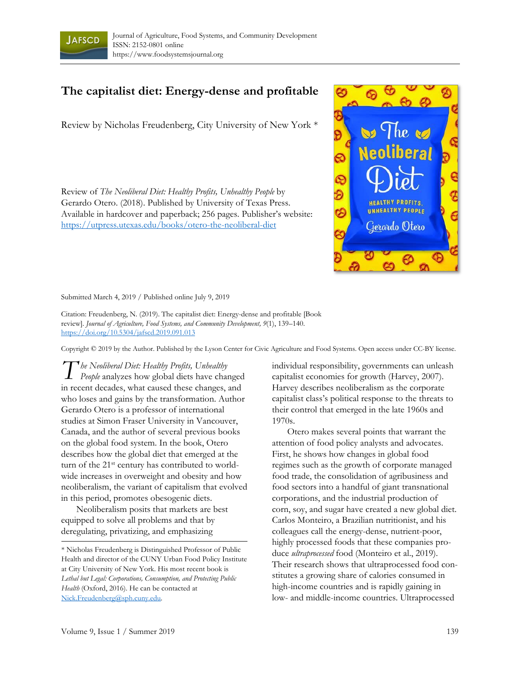

## **The capitalist diet: Energy-dense and profitable**

Review by Nicholas Freudenberg, City University of New York \*

Review of *The Neoliberal Diet: Healthy Profits, Unhealthy People* by Gerardo Otero. (2018). Published by University of Texas Press. Available in hardcover and paperback; 256 pages. Publisher's website: https://utpress.utexas.edu/books/otero-the-neoliberal-diet



Submitted March 4, 2019 / Published online July 9, 2019

Citation: Freudenberg, N. (2019). The capitalist diet: Energy-dense and profitable [Book review]. *Journal of Agriculture, Food Systems, and Community Development, 9*(1), 139–140. https://doi.org/10.5304/jafscd.2019.091.013

Copyright © 2019 by the Author. Published by the Lyson Center for Civic Agriculture and Food Systems. Open access under CC-BY license.

*he Neoliberal Diet: Healthy Profits, Unhealthy People* analyzes how global diets have changed in recent decades, what caused these changes, and who loses and gains by the transformation. Author Gerardo Otero is a professor of international studies at Simon Fraser University in Vancouver, Canada, and the author of several previous books on the global food system. In the book, Otero describes how the global diet that emerged at the turn of the 21<sup>st</sup> century has contributed to worldwide increases in overweight and obesity and how neoliberalism, the variant of capitalism that evolved in this period, promotes obesogenic diets. *T*

 Neoliberalism posits that markets are best equipped to solve all problems and that by deregulating, privatizing, and emphasizing

individual responsibility, governments can unleash capitalist economies for growth (Harvey, 2007). Harvey describes neoliberalism as the corporate capitalist class's political response to the threats to their control that emerged in the late 1960s and 1970s.

 Otero makes several points that warrant the attention of food policy analysts and advocates. First, he shows how changes in global food regimes such as the growth of corporate managed food trade, the consolidation of agribusiness and food sectors into a handful of giant transnational corporations, and the industrial production of corn, soy, and sugar have created a new global diet. Carlos Monteiro, a Brazilian nutritionist, and his colleagues call the energy-dense, nutrient-poor, highly processed foods that these companies produce *ultraprocessed* food (Monteiro et al., 2019). Their research shows that ultraprocessed food constitutes a growing share of calories consumed in high-income countries and is rapidly gaining in low- and middle-income countries. Ultraprocessed

<sup>\*</sup> Nicholas Freudenberg is Distinguished Professor of Public Health and director of the CUNY Urban Food Policy Institute at City University of New York. His most recent book is *Lethal but Legal: Corporations, Consumption, and Protecting Public Health* (Oxford, 2016). He can be contacted at Nick.Freudenberg@sph.cuny.edu.